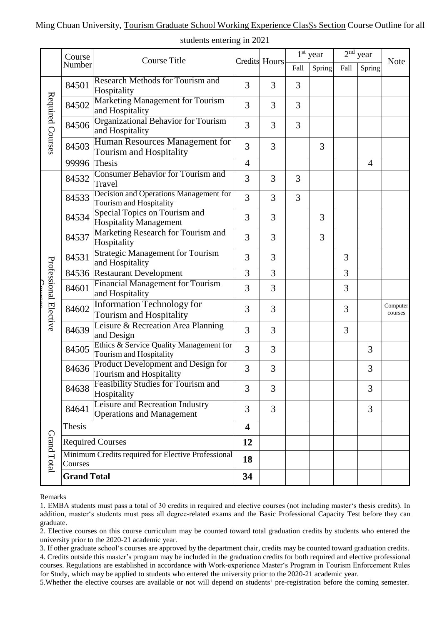## Ming Chuan University, Tourism Graduate School Working Experience ClasSs Section Course Outline for all

|                       | Course<br>Number                                              | <b>Course Title</b>                                                                                  |                         | <b>Credits</b> Hours | $1st$ year |        | $2nd$ year     |                |                     |
|-----------------------|---------------------------------------------------------------|------------------------------------------------------------------------------------------------------|-------------------------|----------------------|------------|--------|----------------|----------------|---------------------|
|                       |                                                               |                                                                                                      |                         |                      | Fall       | Spring | Fall           | Spring         | <b>Note</b>         |
| Required Courses      | 84501                                                         | Research Methods for Tourism and<br>Hospitality                                                      | 3                       | 3                    | 3          |        |                |                |                     |
|                       | 84502                                                         | Marketing Management for Tourism<br>and Hospitality                                                  | 3                       | 3                    | 3          |        |                |                |                     |
|                       | 84506                                                         | Organizational Behavior for Tourism<br>and Hospitality                                               | 3                       | 3                    | 3          |        |                |                |                     |
|                       | 84503                                                         | Human Resources Management for<br>Tourism and Hospitality                                            | 3                       | 3                    |            | 3      |                |                |                     |
|                       | 99996 Thesis                                                  |                                                                                                      | $\overline{4}$          |                      |            |        |                | $\overline{4}$ |                     |
| Professional Elective | 84532                                                         | <b>Consumer Behavior for Tourism and</b><br>Travel                                                   | 3                       | 3                    | 3          |        |                |                |                     |
|                       | 84533                                                         | Decision and Operations Management for<br>Tourism and Hospitality                                    | 3                       | 3                    | 3          |        |                |                |                     |
|                       | 84534                                                         | Special Topics on Tourism and<br><b>Hospitality Management</b>                                       | 3                       | 3                    |            | 3      |                |                |                     |
|                       | 84537                                                         | Marketing Research for Tourism and<br>Hospitality                                                    | 3                       | 3                    |            | 3      |                |                |                     |
|                       | 84531                                                         | <b>Strategic Management for Tourism</b><br>and Hospitality                                           | 3                       | 3                    |            |        | 3              |                |                     |
|                       | 84536                                                         | <b>Restaurant Development</b>                                                                        | $\overline{3}$          | $\overline{3}$       |            |        | $\overline{3}$ |                |                     |
|                       | 84601                                                         | <b>Financial Management for Tourism</b><br>and Hospitality                                           | 3                       | 3                    |            |        | 3              |                |                     |
|                       | 84602                                                         | <b>Information Technology for</b><br>Tourism and Hospitality                                         | 3                       | 3                    |            |        | 3              |                | Computer<br>courses |
|                       | 84639                                                         | Leisure & Recreation Area Planning<br>and Design                                                     | 3                       | 3                    |            |        | 3              |                |                     |
|                       | 84505                                                         | Ethics & Service Quality Management for<br>Tourism and Hospitality                                   | 3                       | 3                    |            |        |                | 3              |                     |
|                       | 84636                                                         | Product Development and Design for<br>Tourism and Hospitality<br>Feasibility Studies for Tourism and | 3                       | 3                    |            |        |                | 3              |                     |
|                       | 84638                                                         | Hospitality                                                                                          | 3                       | 3                    |            |        |                | 3              |                     |
|                       | 84641                                                         | Leisure and Recreation Industry<br><b>Operations and Management</b>                                  | $\overline{3}$          | 3                    |            |        |                | $\overline{3}$ |                     |
| Grand Total           | Thesis                                                        |                                                                                                      | $\overline{\mathbf{4}}$ |                      |            |        |                |                |                     |
|                       | <b>Required Courses</b>                                       |                                                                                                      | 12                      |                      |            |        |                |                |                     |
|                       | Minimum Credits required for Elective Professional<br>Courses |                                                                                                      | 18                      |                      |            |        |                |                |                     |
|                       | <b>Grand Total</b>                                            |                                                                                                      | 34                      |                      |            |        |                |                |                     |

## students entering in 2021

## Remarks

1. EMBA students must pass a total of 30 credits in required and elective courses (not including master's thesis credits). In addition, master's students must pass all degree-related exams and the Basic Professional Capacity Test before they can graduate.

2. Elective courses on this course curriculum may be counted toward total graduation credits by students who entered the university prior to the 2020-21 academic year.

3. If other graduate school's courses are approved by the department chair, credits may be counted toward graduation credits.

4. Credits outside this master's program may be included in the graduation credits for both required and elective professional courses. Regulations are established in accordance with Work-experience Master's Program in Tourism Enforcement Rules for Study, which may be applied to students who entered the university prior to the 2020-21 academic year.

5.Whether the elective courses are available or not will depend on students' pre-registration before the coming semester.